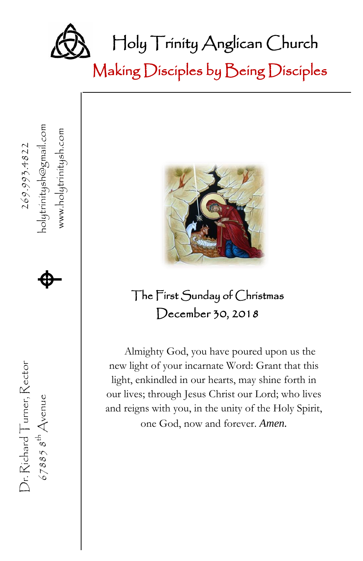

Making Disciples by Being Disciples

nolytrinitysh@gmail.com 67885  $s^{\text{th}}$  Avenue **A** www.holytrinitysh.com www.holytrinitysh.com Dr. Richard Turner, Rector  $269.993.4822$ 、  $\spadesuit$ The First Sunday of Christmas December 30, 2018 Almighty God, you have poured upon us the Dr. Richard Turner, Rector new light of your incarnate Word: Grant that this light, enkindled in our hearts, may shine forth in our lives; through Jesus Christ our Lord; who lives  $678858^{th}$  Avenue and reigns with you, in the unity of the Holy Spirit, one God, now and forever. *Amen.*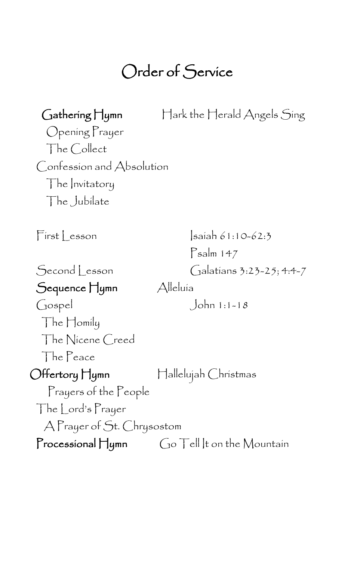#### Call to Worship I Bless Your Name Order of Service

| $\bigcap$ athering $\bigcap$ ymn | $\operatorname{\hspace{0.3mm}\textsf{H}}$ ark the $\operatorname{\hspace{0.3mm}\textsf{H}}$ erald Angels Sing |
|----------------------------------|---------------------------------------------------------------------------------------------------------------|
| Opening Prayer                   |                                                                                                               |
| The Collect                      |                                                                                                               |
| Confession and Absolution        |                                                                                                               |
| The Invitatory                   |                                                                                                               |
| The Jubilate                     |                                                                                                               |
|                                  |                                                                                                               |
| First Lesson                     | saiah 61:10-62:3                                                                                              |
|                                  | $P$ salm 147                                                                                                  |
| Second Lesson                    | Galatians 3:23-25; 4:4-7                                                                                      |
| Sequence Hymn                    | Alleluía                                                                                                      |
| Gospel                           | $John 1:1-18$                                                                                                 |
| $\Box$ he $\Box$ omily           |                                                                                                               |
| The Nicene Creed                 |                                                                                                               |
| The Peace                        |                                                                                                               |
| Offertory Hymn                   | Hallelujah Christmas                                                                                          |
| Prayers of the People            |                                                                                                               |
| The Lord's Prayer                |                                                                                                               |
| A Prayer of St. Chrysostom       |                                                                                                               |
| $\Gamma$ rocessional $\prod$ ymn | $Go$ Tell It on the Mountain                                                                                  |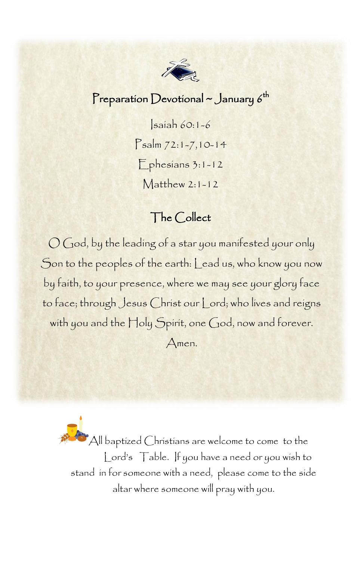

### Preparation Devotional  $\sim$  January  $6^{\rm th}$

Isaiah 60:1-6 Psalm 72:1-7,10-14 Ephesians 3:1-12 Matthew 2:1-12

### The Collect

O God, by the leading of a star you manifested your only Son to the peoples of the earth: Lead us, who know you now by faith, to your presence, where we may see your glory face to face; through Jesus Christ our Lord; who lives and reigns with you and the Holy Spirit, one God, now and forever. Amen.

All baptized Christians are welcome to come to the Lord's Table. If you have a need or you wish to stand in for someone with a need, please come to the side altar where someone will pray with you.